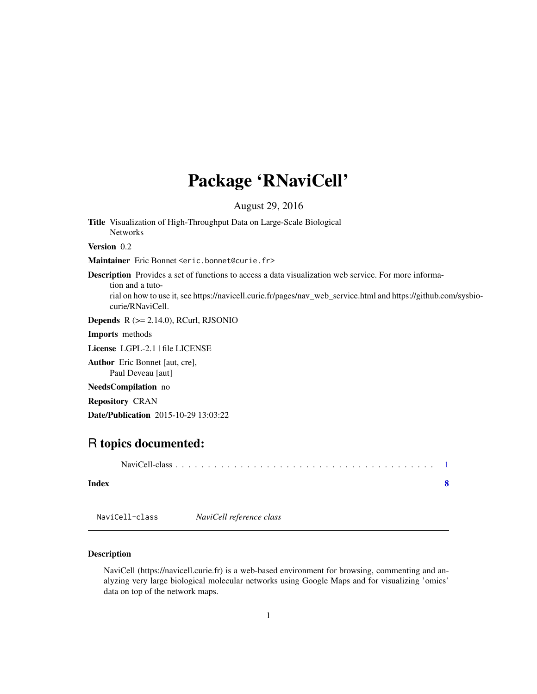## <span id="page-0-0"></span>Package 'RNaviCell'

August 29, 2016

Title Visualization of High-Throughput Data on Large-Scale Biological Networks

Version 0.2

Maintainer Eric Bonnet <eric.bonnet@curie.fr>

Description Provides a set of functions to access a data visualization web service. For more information and a tuto-

rial on how to use it, see https://navicell.curie.fr/pages/nav\_web\_service.html and https://github.com/sysbiocurie/RNaviCell.

**Depends**  $R$  ( $>= 2.14.0$ ), RCurl, RJSONIO

Imports methods

License LGPL-2.1 | file LICENSE

Author Eric Bonnet [aut, cre], Paul Deveau [aut]

NeedsCompilation no

Repository CRAN

Date/Publication 2015-10-29 13:03:22

### R topics documented:

| Index |  |
|-------|--|
|       |  |

NaviCell-class *NaviCell reference class*

#### Description

NaviCell (https://navicell.curie.fr) is a web-based environment for browsing, commenting and analyzing very large biological molecular networks using Google Maps and for visualizing 'omics' data on top of the network maps.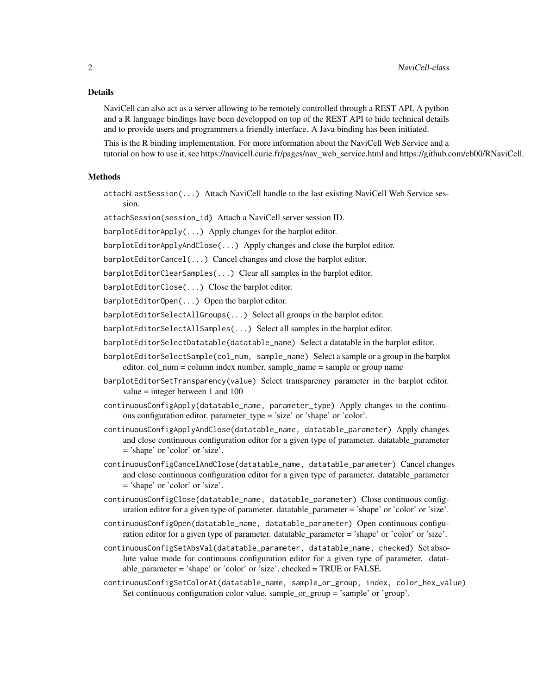#### Details

NaviCell can also act as a server allowing to be remotely controlled through a REST API. A python and a R language bindings have been developped on top of the REST API to hide technical details and to provide users and programmers a friendly interface. A Java binding has been initiated.

This is the R binding implementation. For more information about the NaviCell Web Service and a tutorial on how to use it, see https://navicell.curie.fr/pages/nav\_web\_service.html and https://github.com/eb00/RNaviCell.

#### Methods

attachLastSession(...) Attach NaviCell handle to the last existing NaviCell Web Service session.

attachSession(session\_id) Attach a NaviCell server session ID.

barplotEditorApply(...) Apply changes for the barplot editor.

barplotEditorApplyAndClose(...) Apply changes and close the barplot editor.

barplotEditorCancel(...) Cancel changes and close the barplot editor.

barplotEditorClearSamples(...) Clear all samples in the barplot editor.

barplotEditorClose(...) Close the barplot editor.

barplotEditorOpen(...) Open the barplot editor.

barplotEditorSelectAllGroups(...) Select all groups in the barplot editor.

barplotEditorSelectAllSamples(...) Select all samples in the barplot editor.

barplotEditorSelectDatatable(datatable\_name) Select a datatable in the barplot editor.

- barplotEditorSelectSample(col\_num, sample\_name) Select a sample or a group in the barplot editor. col\_num = column index number, sample  $\bar{n}$  name = sample or group name
- barplotEditorSetTransparency(value) Select transparency parameter in the barplot editor. value = integer between 1 and 100
- continuousConfigApply(datatable\_name, parameter\_type) Apply changes to the continuous configuration editor. parameter type = 'size' or 'shape' or 'color'.
- continuousConfigApplyAndClose(datatable\_name, datatable\_parameter) Apply changes and close continuous configuration editor for a given type of parameter. datatable\_parameter = 'shape' or 'color' or 'size'.
- continuousConfigCancelAndClose(datatable\_name, datatable\_parameter) Cancel changes and close continuous configuration editor for a given type of parameter. datatable\_parameter = 'shape' or 'color' or 'size'.
- continuousConfigClose(datatable\_name, datatable\_parameter) Close continuous configuration editor for a given type of parameter. datatable\_parameter = 'shape' or 'color' or 'size'.
- continuousConfigOpen(datatable\_name, datatable\_parameter) Open continuous configuration editor for a given type of parameter. datatable\_parameter = 'shape' or 'color' or 'size'.
- continuousConfigSetAbsVal(datatable\_parameter, datatable\_name, checked) Set absolute value mode for continuous configuration editor for a given type of parameter. datatable\_parameter = 'shape' or 'color' or 'size', checked = TRUE or FALSE.
- continuousConfigSetColorAt(datatable\_name, sample\_or\_group, index, color\_hex\_value) Set continuous configuration color value. sample\_or\_group = 'sample' or 'group'.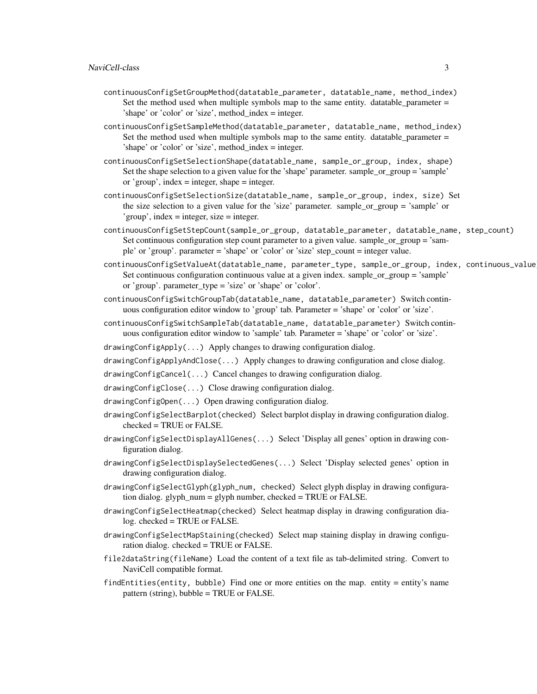- continuousConfigSetGroupMethod(datatable\_parameter, datatable\_name, method\_index) Set the method used when multiple symbols map to the same entity. datatable\_parameter  $=$ 'shape' or 'color' or 'size', method\_index = integer.
- continuousConfigSetSampleMethod(datatable\_parameter, datatable\_name, method\_index) Set the method used when multiple symbols map to the same entity. datatable\_parameter  $=$ 'shape' or 'color' or 'size', method\_index = integer.
- continuousConfigSetSelectionShape(datatable\_name, sample\_or\_group, index, shape) Set the shape selection to a given value for the 'shape' parameter. sample\_or\_group = 'sample' or 'group', index = integer, shape = integer.
- continuousConfigSetSelectionSize(datatable\_name, sample\_or\_group, index, size) Set the size selection to a given value for the 'size' parameter. sample\_or\_group = 'sample' or 'group', index = integer, size = integer.
- continuousConfigSetStepCount(sample\_or\_group, datatable\_parameter, datatable\_name, step\_count) Set continuous configuration step count parameter to a given value. sample\_or\_group = 'sample' or 'group'. parameter = 'shape' or 'color' or 'size' step\_count = integer value.
- continuousConfigSetValueAt(datatable\_name, parameter\_type, sample\_or\_group, index, continuous\_value) Set continuous configuration continuous value at a given index. sample\_or\_group = 'sample' or 'group'. parameter\_type = 'size' or 'shape' or 'color'.
- continuousConfigSwitchGroupTab(datatable\_name, datatable\_parameter) Switch continuous configuration editor window to 'group' tab. Parameter = 'shape' or 'color' or 'size'.
- continuousConfigSwitchSampleTab(datatable\_name, datatable\_parameter) Switch continuous configuration editor window to 'sample' tab. Parameter = 'shape' or 'color' or 'size'.
- drawingConfigApply(...) Apply changes to drawing configuration dialog.
- drawingConfigApplyAndClose(...) Apply changes to drawing configuration and close dialog.
- drawingConfigCancel(...) Cancel changes to drawing configuration dialog.
- drawingConfigClose(...) Close drawing configuration dialog.
- drawingConfigOpen(...) Open drawing configuration dialog.
- drawingConfigSelectBarplot(checked) Select barplot display in drawing configuration dialog. checked = TRUE or FALSE.
- drawingConfigSelectDisplayAllGenes(...) Select 'Display all genes' option in drawing configuration dialog.
- drawingConfigSelectDisplaySelectedGenes(...) Select 'Display selected genes' option in drawing configuration dialog.
- drawingConfigSelectGlyph(glyph\_num, checked) Select glyph display in drawing configuration dialog. glyph  $num =$  glyph number, checked = TRUE or FALSE.
- drawingConfigSelectHeatmap(checked) Select heatmap display in drawing configuration dialog. checked = TRUE or FALSE.
- drawingConfigSelectMapStaining(checked) Select map staining display in drawing configuration dialog. checked = TRUE or FALSE.
- file2dataString(fileName) Load the content of a text file as tab-delimited string. Convert to NaviCell compatible format.
- findEntities(entity, bubble) Find one or more entities on the map. entity = entity's name pattern (string), bubble = TRUE or FALSE.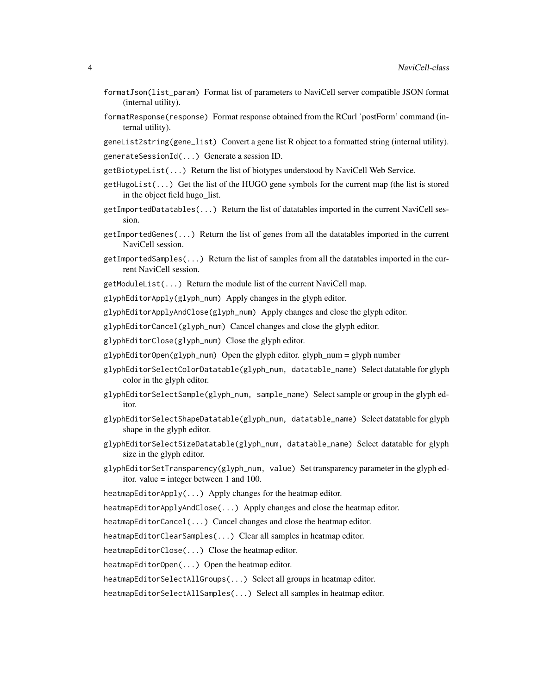- formatJson(list\_param) Format list of parameters to NaviCell server compatible JSON format (internal utility).
- formatResponse(response) Format response obtained from the RCurl 'postForm' command (internal utility).
- geneList2string(gene\_list) Convert a gene list R object to a formatted string (internal utility).

generateSessionId(...) Generate a session ID.

- getBiotypeList(...) Return the list of biotypes understood by NaviCell Web Service.
- $getHugolist(...)$  Get the list of the HUGO gene symbols for the current map (the list is stored in the object field hugo\_list.
- getImportedDatatables(...) Return the list of datatables imported in the current NaviCell session.
- getImportedGenes(...) Return the list of genes from all the datatables imported in the current NaviCell session.
- getImportedSamples(...) Return the list of samples from all the datatables imported in the current NaviCell session.
- getModuleList(...) Return the module list of the current NaviCell map.

glyphEditorApply(glyph\_num) Apply changes in the glyph editor.

glyphEditorApplyAndClose(glyph\_num) Apply changes and close the glyph editor.

glyphEditorCancel(glyph\_num) Cancel changes and close the glyph editor.

glyphEditorClose(glyph\_num) Close the glyph editor.

- glyphEditorOpen(glyph\_num) Open the glyph editor. glyph\_num = glyph number
- glyphEditorSelectColorDatatable(glyph\_num, datatable\_name) Select datatable for glyph color in the glyph editor.
- glyphEditorSelectSample(glyph\_num, sample\_name) Select sample or group in the glyph editor.
- glyphEditorSelectShapeDatatable(glyph\_num, datatable\_name) Select datatable for glyph shape in the glyph editor.
- glyphEditorSelectSizeDatatable(glyph\_num, datatable\_name) Select datatable for glyph size in the glyph editor.
- glyphEditorSetTransparency(glyph\_num, value) Set transparency parameter in the glyph editor. value = integer between 1 and 100.
- heatmapEditorApply(...) Apply changes for the heatmap editor.
- heatmapEditorApplyAndClose(...) Apply changes and close the heatmap editor.
- heatmapEditorCancel(...) Cancel changes and close the heatmap editor.

heatmapEditorClearSamples(...) Clear all samples in heatmap editor.

heatmapEditorClose(...) Close the heatmap editor.

heatmapEditorOpen(...) Open the heatmap editor.

heatmapEditorSelectAllGroups(...) Select all groups in heatmap editor.

heatmapEditorSelectAllSamples(...) Select all samples in heatmap editor.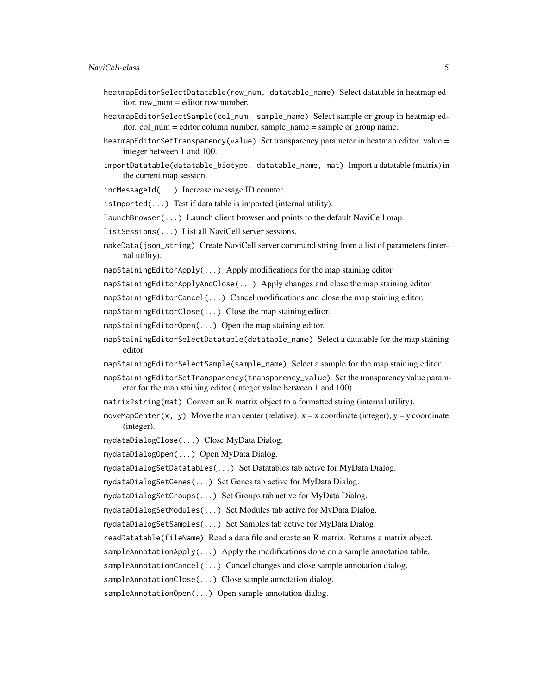#### NaviCell-class 5

- heatmapEditorSelectDatatable(row\_num, datatable\_name) Select datatable in heatmap editor. row\_num = editor row number.
- heatmapEditorSelectSample(col\_num, sample\_name) Select sample or group in heatmap editor. col\_num = editor column number, sample\_name = sample or group name.
- heatmapEditorSetTransparency(value) Set transparency parameter in heatmap editor. value = integer between 1 and 100.
- importDatatable(datatable\_biotype, datatable\_name, mat) Import a datatable (matrix) in the current map session.

incMessageId(...) Increase message ID counter.

- isImported(...) Test if data table is imported (internal utility).
- launchBrowser(...) Launch client browser and points to the default NaviCell map.
- listSessions(...) List all NaviCell server sessions.
- makeData(json\_string) Create NaviCell server command string from a list of parameters (internal utility).
- mapStainingEditorApply(...) Apply modifications for the map staining editor.
- mapStainingEditorApplyAndClose(...) Apply changes and close the map staining editor.
- mapStainingEditorCancel(...) Cancel modifications and close the map staining editor.
- mapStainingEditorClose(...) Close the map staining editor.
- mapStainingEditorOpen(...) Open the map staining editor.
- mapStainingEditorSelectDatatable(datatable\_name) Select a datatable for the map staining editor.
- mapStainingEditorSelectSample(sample\_name) Select a sample for the map staining editor.
- mapStainingEditorSetTransparency(transparency\_value) Set the transparency value parameter for the map staining editor (integer value between 1 and 100).
- matrix2string(mat) Convert an R matrix object to a formatted string (internal utility).
- moveMapCenter(x, y) Move the map center (relative).  $x = x$  coordinate (integer),  $y = y$  coordinate (integer).
- mydataDialogClose(...) Close MyData Dialog.
- mydataDialogOpen(...) Open MyData Dialog.
- mydataDialogSetDatatables(...) Set Datatables tab active for MyData Dialog.
- mydataDialogSetGenes(...) Set Genes tab active for MyData Dialog.
- mydataDialogSetGroups(...) Set Groups tab active for MyData Dialog.
- mydataDialogSetModules(...) Set Modules tab active for MyData Dialog.
- mydataDialogSetSamples(...) Set Samples tab active for MyData Dialog.
- readDatatable(fileName) Read a data file and create an R matrix. Returns a matrix object.
- sampleAnnotationApply( $\ldots$ ) Apply the modifications done on a sample annotation table.
- sampleAnnotationCancel(...) Cancel changes and close sample annotation dialog.
- sampleAnnotationClose(...) Close sample annotation dialog.

sampleAnnotationOpen(...) Open sample annotation dialog.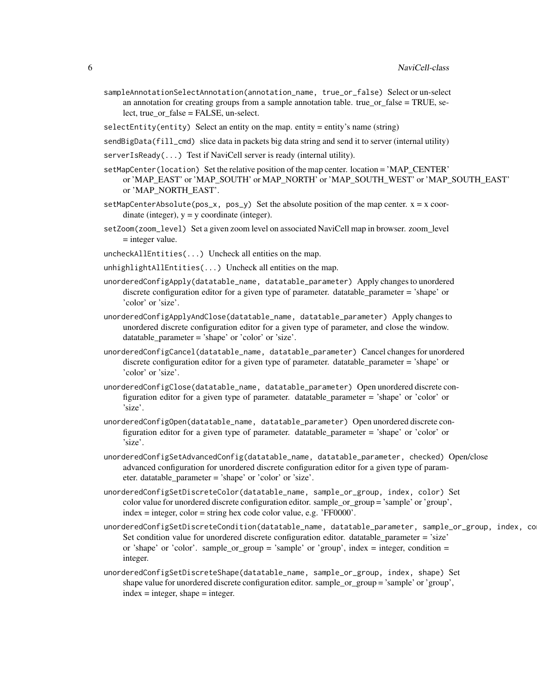sampleAnnotationSelectAnnotation(annotation\_name, true\_or\_false) Select or un-select an annotation for creating groups from a sample annotation table. true or false  $= TRUE$ , select, true or false = FALSE, un-select.

selectEntity(entity) Select an entity on the map. entity = entity's name (string)

- sendBigData(fill\_cmd) slice data in packets big data string and send it to server (internal utility)
- serverIsReady(...) Test if NaviCell server is ready (internal utility).
- setMapCenter(location) Set the relative position of the map center. location = 'MAP\_CENTER' or 'MAP\_EAST' or 'MAP\_SOUTH' or MAP\_NORTH' or 'MAP\_SOUTH\_WEST' or 'MAP\_SOUTH\_EAST' or 'MAP\_NORTH\_EAST'.
- setMapCenterAbsolute(pos\_x, pos\_y) Set the absolute position of the map center.  $x = x$  coordinate (integer),  $y = y$  coordinate (integer).
- setZoom(zoom\_level) Set a given zoom level on associated NaviCell map in browser. zoom\_level = integer value.
- uncheckAllEntities(...) Uncheck all entities on the map.
- unhighlightAllEntities(...) Uncheck all entities on the map.
- unorderedConfigApply(datatable\_name, datatable\_parameter) Apply changes to unordered discrete configuration editor for a given type of parameter. datatable\_parameter = 'shape' or 'color' or 'size'.
- unorderedConfigApplyAndClose(datatable\_name, datatable\_parameter) Apply changes to unordered discrete configuration editor for a given type of parameter, and close the window. datatable\_parameter = 'shape' or 'color' or 'size'.
- unorderedConfigCancel(datatable\_name, datatable\_parameter) Cancel changes for unordered discrete configuration editor for a given type of parameter. datatable\_parameter = 'shape' or 'color' or 'size'.
- unorderedConfigClose(datatable\_name, datatable\_parameter) Open unordered discrete configuration editor for a given type of parameter. datatable\_parameter = 'shape' or 'color' or 'size'.
- unorderedConfigOpen(datatable\_name, datatable\_parameter) Open unordered discrete configuration editor for a given type of parameter. datatable\_parameter = 'shape' or 'color' or 'size'.
- unorderedConfigSetAdvancedConfig(datatable\_name, datatable\_parameter, checked) Open/close advanced configuration for unordered discrete configuration editor for a given type of parameter. datatable\_parameter = 'shape' or 'color' or 'size'.
- unorderedConfigSetDiscreteColor(datatable\_name, sample\_or\_group, index, color) Set color value for unordered discrete configuration editor. sample\_or\_group = 'sample' or 'group', index = integer, color = string hex code color value, e.g. 'FF0000'.
- unorderedConfigSetDiscreteCondition(datatable\_name, datatable\_parameter, sample\_or\_group, index, co Set condition value for unordered discrete configuration editor. datatable\_parameter = 'size' or 'shape' or 'color'. sample\_or\_group = 'sample' or 'group', index = integer, condition = integer.
- unorderedConfigSetDiscreteShape(datatable\_name, sample\_or\_group, index, shape) Set shape value for unordered discrete configuration editor. sample\_or\_group = 'sample' or 'group',  $index = integer, shape = integer.$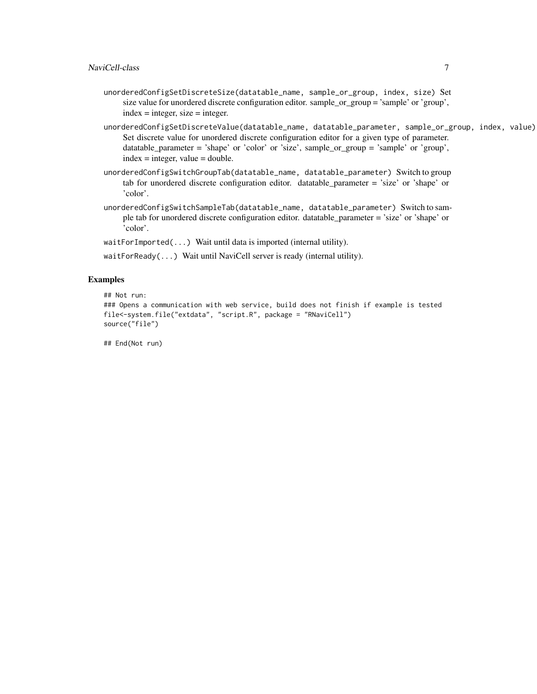- unorderedConfigSetDiscreteSize(datatable\_name, sample\_or\_group, index, size) Set size value for unordered discrete configuration editor. sample\_or\_group = 'sample' or 'group', index = integer, size = integer.
- unorderedConfigSetDiscreteValue(datatable\_name, datatable\_parameter, sample\_or\_group, index, value) Set discrete value for unordered discrete configuration editor for a given type of parameter. datatable\_parameter = 'shape' or 'color' or 'size', sample\_or\_group = 'sample' or 'group',  $index = integer, value = double.$
- unorderedConfigSwitchGroupTab(datatable\_name, datatable\_parameter) Switch to group tab for unordered discrete configuration editor. datatable\_parameter = 'size' or 'shape' or 'color'.
- unorderedConfigSwitchSampleTab(datatable\_name, datatable\_parameter) Switch to sample tab for unordered discrete configuration editor. datatable\_parameter = 'size' or 'shape' or 'color'.
- waitForImported(...) Wait until data is imported (internal utility).
- waitForReady(...) Wait until NaviCell server is ready (internal utility).

#### Examples

```
## Not run:
### Opens a communication with web service, build does not finish if example is tested
file<-system.file("extdata", "script.R", package = "RNaviCell")
source("file")
```
## End(Not run)